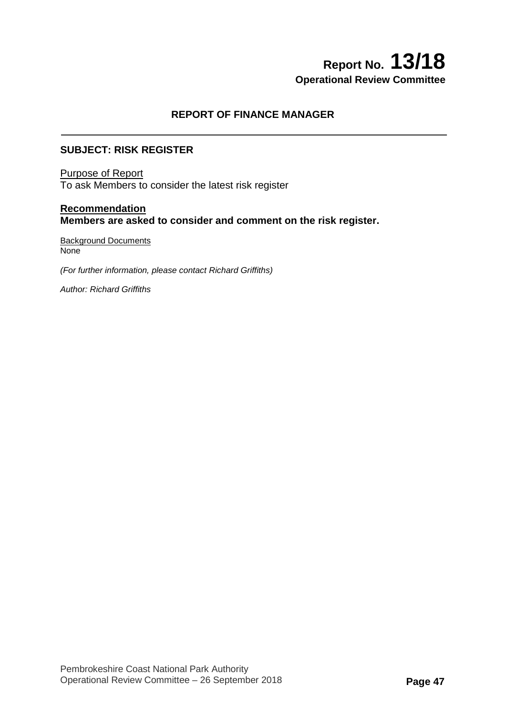# **Report No. 13/18 Operational Review Committee**

# **REPORT OF FINANCE MANAGER**

### **SUBJECT: RISK REGISTER**

Purpose of Report To ask Members to consider the latest risk register

## **Recommendation Members are asked to consider and comment on the risk register.**

Background Documents **None** 

*(For further information, please contact Richard Griffiths)* 

*Author: Richard Griffiths*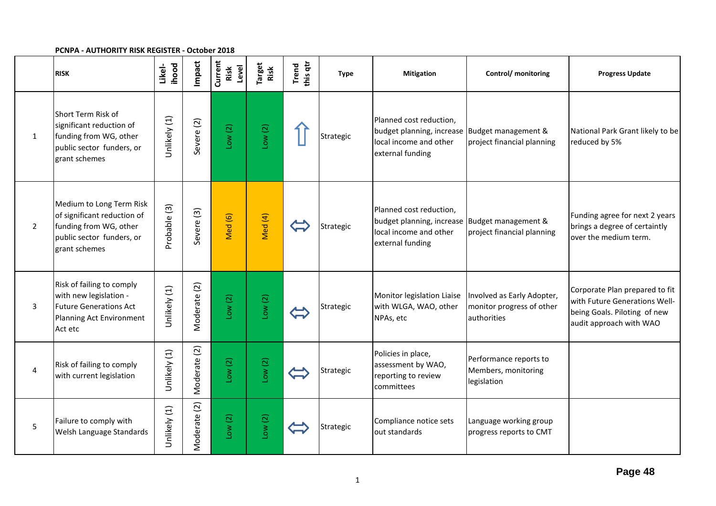#### **PCNPA - AUTHORITY RISK REGISTER - October 2018**

|                | <b>RISK</b>                                                                                                                     | ihood<br>Likel- | Impact                | Current<br>Level<br>Risk | Target<br>Risk | this qtr<br>Trend | <b>Type</b> | <b>Mitigation</b>                                                                                                      | Control/ monitoring                                                    | <b>Progress Update</b>                                                                                                     |
|----------------|---------------------------------------------------------------------------------------------------------------------------------|-----------------|-----------------------|--------------------------|----------------|-------------------|-------------|------------------------------------------------------------------------------------------------------------------------|------------------------------------------------------------------------|----------------------------------------------------------------------------------------------------------------------------|
| 1              | Short Term Risk of<br>significant reduction of<br>funding from WG, other<br>public sector funders, or<br>grant schemes          | Unlikely (1)    | Severe (2)            | Low(2)                   | Low(2)         |                   | Strategic   | Planned cost reduction,<br>budget planning, increase Budget management &<br>local income and other<br>external funding | project financial planning                                             | National Park Grant likely to be<br>reduced by 5%                                                                          |
| $\overline{2}$ | Medium to Long Term Risk<br>of significant reduction of<br>funding from WG, other<br>public sector funders, or<br>grant schemes | Probable (3)    | Severe <sub>(3)</sub> | Med (6)                  | Med (4)        |                   | Strategic   | Planned cost reduction,<br>budget planning, increase Budget management &<br>local income and other<br>external funding | project financial planning                                             | Funding agree for next 2 years<br>brings a degree of certaintly<br>over the medium term.                                   |
| 3              | Risk of failing to comply<br>with new legislation -<br><b>Future Generations Act</b><br>Planning Act Environment<br>Act etc     | Unlikely (1)    | Moderate (2)          | Low(2)                   | Low(2)         | $\Leftrightarrow$ | Strategic   | Monitor legislation Liaise<br>with WLGA, WAO, other<br>NPAs, etc                                                       | Involved as Early Adopter,<br>monitor progress of other<br>authorities | Corporate Plan prepared to fit<br>with Future Generations Well-<br>being Goals. Piloting of new<br>audit approach with WAO |
| 4              | Risk of failing to comply<br>with current legislation                                                                           | Unlikely (1)    | Moderate (2)          | Low(2)                   | Low(2)         |                   | Strategic   | Policies in place,<br>assessment by WAO,<br>reporting to review<br>committees                                          | Performance reports to<br>Members, monitoring<br>legislation           |                                                                                                                            |
| 5              | Failure to comply with<br>Welsh Language Standards                                                                              | Unlikely (1)    | Moderate (2)          | Low(2)                   | Low(2)         |                   | Strategic   | Compliance notice sets<br>out standards                                                                                | Language working group<br>progress reports to CMT                      |                                                                                                                            |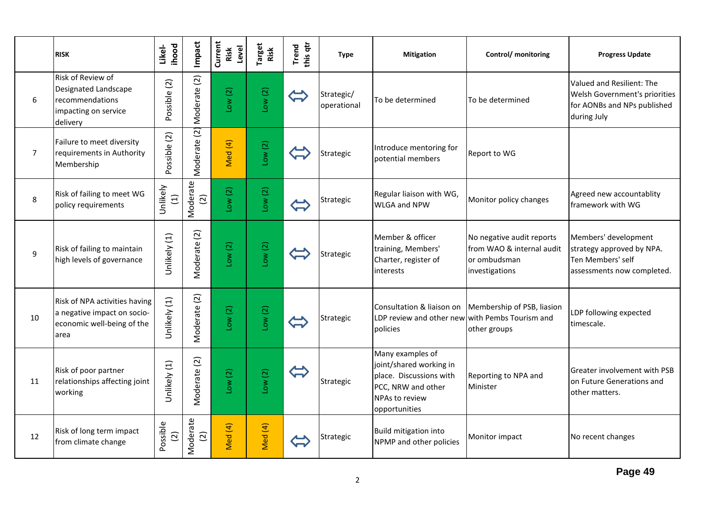|                | <b>RISK</b>                                                                                        | ihood<br>Likel-            | Impact                     | Current<br>Level<br>Risk | Target<br>Risk | this qtr<br>Trend                  | <b>Type</b>               | <b>Mitigation</b>                                                                                                               | Control/ monitoring                                                                      | <b>Progress Update</b>                                                                                   |
|----------------|----------------------------------------------------------------------------------------------------|----------------------------|----------------------------|--------------------------|----------------|------------------------------------|---------------------------|---------------------------------------------------------------------------------------------------------------------------------|------------------------------------------------------------------------------------------|----------------------------------------------------------------------------------------------------------|
| 6              | Risk of Review of<br>Designated Landscape<br>recommendations<br>impacting on service<br>delivery   | Possible (2)               | Moderate (2)               | Low(2)                   | Low(2)         | $\overleftrightarrow{\phantom{a}}$ | Strategic/<br>operational | To be determined                                                                                                                | To be determined                                                                         | Valued and Resilient: The<br>Welsh Government's priorities<br>for AONBs and NPs published<br>during July |
| $\overline{7}$ | Failure to meet diversity<br>requirements in Authority<br>Membership                               | Possible (2)               | Moderate (2)               | Med (4)                  | Low(2)         |                                    | Strategic                 | Introduce mentoring for<br>potential members                                                                                    | Report to WG                                                                             |                                                                                                          |
| 8              | Risk of failing to meet WG<br>policy requirements                                                  | Unlikely<br>$\Xi$          | Moderate<br>$\overline{c}$ | Low(2)                   | Low(2)         | $\bigoplus$                        | Strategic                 | Regular liaison with WG,<br><b>WLGA and NPW</b>                                                                                 | Monitor policy changes                                                                   | Agreed new accountablity<br>framework with WG                                                            |
| 9              | Risk of failing to maintain<br>high levels of governance                                           | Unlikely (1)               | Moderate (2)               | Low(2)                   | Low(2)         |                                    | Strategic                 | Member & officer<br>training, Members'<br>Charter, register of<br>interests                                                     | No negative audit reports<br>from WAO & internal audit<br>or ombudsman<br>investigations | Members' development<br>strategy approved by NPA.<br>Ten Members' self<br>assessments now completed.     |
| 10             | Risk of NPA activities having<br>a negative impact on socio-<br>economic well-being of the<br>area | Unlikely (1)               | Moderate (2)               | Low(2)                   | Low(2)         |                                    | Strategic                 | LDP review and other new with Pembs Tourism and<br>policies                                                                     | Consultation & liaison on Membership of PSB, liasion<br>other groups                     | LDP following expected<br>timescale.                                                                     |
| 11             | Risk of poor partner<br>relationships affecting joint<br>working                                   | Unlikely (1)               | Moderate (2)               | Low(2)                   | Low(2)         | $\Leftrightarrow$                  | Strategic                 | Many examples of<br>joint/shared working in<br>place. Discussions with<br>PCC, NRW and other<br>NPAs to review<br>opportunities | Reporting to NPA and<br>Minister                                                         | Greater involvement with PSB<br>on Future Generations and<br>other matters.                              |
| 12             | Risk of long term impact<br>from climate change                                                    | Possible<br>$\overline{c}$ | Moderate<br>$\boxed{2}$    | Med (4)                  | Med (4)        |                                    | Strategic                 | <b>Build mitigation into</b><br>NPMP and other policies                                                                         | Monitor impact                                                                           | No recent changes                                                                                        |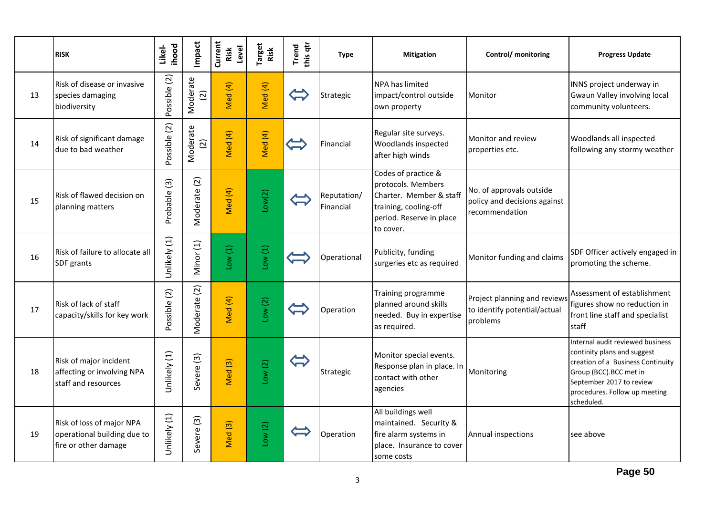|    | <b>RISK</b>                                                                      | <b>ihood</b><br>Likel- | Impact                    | Current<br>Level<br>Risk | Target<br>Risk | this qtr<br>Trend | <b>Type</b>              | <b>Mitigation</b>                                                                                                                      | Control/ monitoring                                                        | <b>Progress Update</b>                                                                                                                                                                                    |
|----|----------------------------------------------------------------------------------|------------------------|---------------------------|--------------------------|----------------|-------------------|--------------------------|----------------------------------------------------------------------------------------------------------------------------------------|----------------------------------------------------------------------------|-----------------------------------------------------------------------------------------------------------------------------------------------------------------------------------------------------------|
| 13 | Risk of disease or invasive<br>species damaging<br>biodiversity                  | Possible (2)           | Moderate<br>$\widehat{c}$ | Med (4)                  | Med (4)        | $\Leftrightarrow$ | Strategic                | NPA has limited<br>impact/control outside<br>own property                                                                              | Monitor                                                                    | INNS project underway in<br>Gwaun Valley involving local<br>community volunteers.                                                                                                                         |
| 14 | Risk of significant damage<br>due to bad weather                                 | Possible (2)           | Moderate<br>$\widehat{c}$ | Med (4)                  | Med (4)        |                   | Financial                | Regular site surveys.<br>Woodlands inspected<br>after high winds                                                                       | Monitor and review<br>properties etc.                                      | Woodlands all inspected<br>following any stormy weather                                                                                                                                                   |
| 15 | Risk of flawed decision on<br>planning matters                                   | Probable (3)           | Moderate (2)              | Med (4)                  | Low(2)         |                   | Reputation/<br>Financial | Codes of practice &<br>protocols. Members<br>Charter. Member & staff<br>training, cooling-off<br>period. Reserve in place<br>to cover. | No. of approvals outside<br>policy and decisions against<br>recommendation |                                                                                                                                                                                                           |
| 16 | Risk of failure to allocate all<br>SDF grants                                    | Unlikely (1)           | Minor (1)                 | Low(1)                   | Low(1)         |                   | Operational              | Publicity, funding<br>surgeries etc as required                                                                                        | Monitor funding and claims                                                 | SDF Officer actively engaged in<br>promoting the scheme.                                                                                                                                                  |
| 17 | Risk of lack of staff<br>capacity/skills for key work                            | Possible (2)           | Moderate (2)              | Med (4)                  | Low(2)         |                   | Operation                | Training programme<br>planned around skills<br>needed. Buy in expertise<br>as required.                                                | Project planning and reviews<br>to identify potential/actual<br>problems   | Assessment of establishment<br>figures show no reduction in<br>front line staff and specialist<br>staff                                                                                                   |
| 18 | Risk of major incident<br>affecting or involving NPA<br>staff and resources      | Unlikely (1)           | Severe (3)                | Med <sub>(3)</sub>       | Low(2)         | $\bigoplus$       | Strategic                | Monitor special events.<br>Response plan in place. In<br>contact with other<br>agencies                                                | Monitoring                                                                 | Internal audit reviewed business<br>continity plans and suggest<br>creation of a Business Continuity<br>Group (BCC).BCC met in<br>September 2017 to review<br>procedures. Follow up meeting<br>scheduled. |
| 19 | Risk of loss of major NPA<br>operational building due to<br>fire or other damage | Unlikely (1)           | Severe (3)                | Med <sub>(3)</sub>       | Low(2)         |                   | Operation                | All buildings well<br>maintained. Security &<br>fire alarm systems in<br>place. Insurance to cover<br>some costs                       | Annual inspections                                                         | see above                                                                                                                                                                                                 |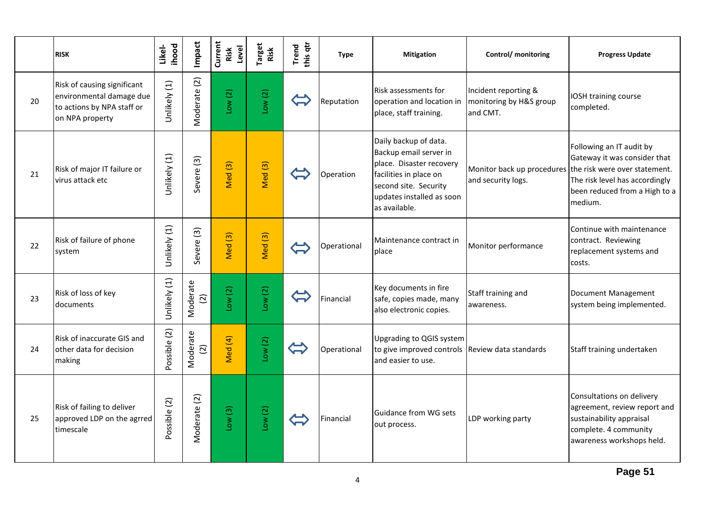|    | <b>RISK</b>                                                                                              | ihood<br>Likel- | Impact                     | Current<br>Level<br>Risk | Target<br>Risk     | this qtr<br><b>Trend</b>     | <b>Type</b> | <b>Mitigation</b>                                                                                                                                                            | Control/ monitoring                                         | <b>Progress Update</b>                                                                                                                                                                             |
|----|----------------------------------------------------------------------------------------------------------|-----------------|----------------------------|--------------------------|--------------------|------------------------------|-------------|------------------------------------------------------------------------------------------------------------------------------------------------------------------------------|-------------------------------------------------------------|----------------------------------------------------------------------------------------------------------------------------------------------------------------------------------------------------|
| 20 | Risk of causing significant<br>environmental damage due<br>to actions by NPA staff or<br>on NPA property | Unlikely (1)    | Moderate (2)               | Low(2)                   | Low(2)             | $\leftarrow$                 | Reputation  | Risk assessments for<br>operation and location in<br>place, staff training.                                                                                                  | Incident reporting &<br>monitoring by H&S group<br>and CMT. | IOSH training course<br>completed.                                                                                                                                                                 |
| 21 | Risk of major IT failure or<br>virus attack etc                                                          | Unlikely (1)    | Severe <sub>(3)</sub>      | Med (3)                  | Med (3)            | $\left\langle \right\rangle$ | Operation   | Daily backup of data.<br>Backup email server in<br>place. Disaster recovery<br>facilities in place on<br>second site. Security<br>updates installed as soon<br>as available. | and security logs.                                          | Following an IT audit by<br>Gateway it was consider that<br>Monitor back up procedures the risk were over statement.<br>The risk level has accordingly<br>been reduced from a High to a<br>medium. |
| 22 | Risk of failure of phone<br>system                                                                       | Unlikely (1)    | Severe (3)                 | Med <sub>(3)</sub>       | Med <sub>(3)</sub> | $\left\langle \right\rangle$ | Operational | Maintenance contract in<br>place                                                                                                                                             | Monitor performance                                         | Continue with maintenance<br>contract. Reviewing<br>replacement systems and<br>costs.                                                                                                              |
| 23 | Risk of loss of key<br>documents                                                                         | Unlikely (1)    | Moderate<br>$\overline{c}$ | Low(2)                   | Low(2)             |                              | Financial   | Key documents in fire<br>safe, copies made, many<br>also electronic copies.                                                                                                  | Staff training and<br>awareness.                            | Document Management<br>system being implemented.                                                                                                                                                   |
| 24 | Risk of inaccurate GIS and<br>other data for decision<br>making                                          | Possible (2)    | Moderate<br>$\overline{2}$ | Med (4)                  | Low(2)             | $\Leftrightarrow$            | Operational | Upgrading to QGIS system<br>to give improved controls Review data standards<br>and easier to use.                                                                            |                                                             | Staff training undertaken                                                                                                                                                                          |
| 25 | Risk of failing to deliver<br>approved LDP on the agrred<br>timescale                                    | Possible (2)    | Moderate (2)               | Low(3)                   | Low(2)             | $\overline{\mathbf{u}}$      | Financial   | <b>Guidance from WG sets</b><br>out process.                                                                                                                                 | LDP working party                                           | Consultations on delivery<br>agreement, review report and<br>sustainability appraisal<br>complete. 4 community<br>awareness workshops held.                                                        |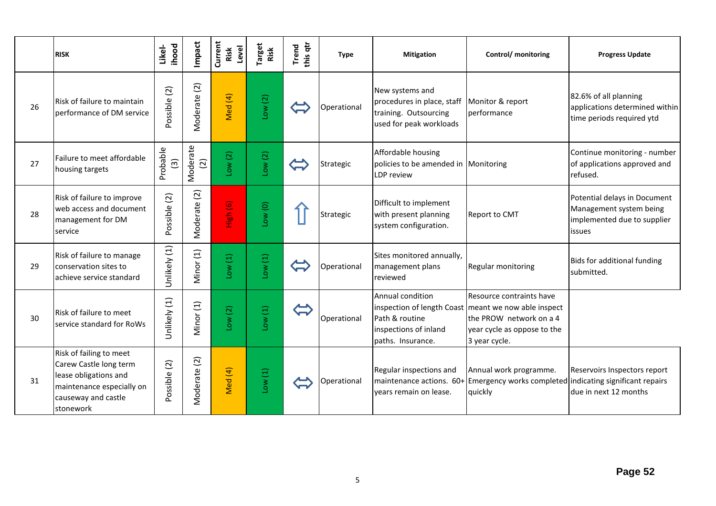|    | <b>RISK</b>                                                                                                                                 | ihood<br>Likel-           | Impact                      | Current<br>Level<br>Risk | Target<br>Risk | this qtr<br>Trend            | <b>Type</b> | <b>Mitigation</b>                                                                                 | Control/ monitoring                                                                                                                                         | <b>Progress Update</b>                                                                           |
|----|---------------------------------------------------------------------------------------------------------------------------------------------|---------------------------|-----------------------------|--------------------------|----------------|------------------------------|-------------|---------------------------------------------------------------------------------------------------|-------------------------------------------------------------------------------------------------------------------------------------------------------------|--------------------------------------------------------------------------------------------------|
| 26 | Risk of failure to maintain<br>performance of DM service                                                                                    | Possible (2)              | Moderate (2)                | Med (4)                  | Low(2)         | $\leftarrow$                 | Operational | New systems and<br>procedures in place, staff<br>training. Outsourcing<br>used for peak workloads | Monitor & report<br>performance                                                                                                                             | 82.6% of all planning<br>applications determined within<br>time periods required ytd             |
| 27 | Failure to meet affordable<br>housing targets                                                                                               | Probable<br>$\widehat{S}$ | Moderate<br>$\widetilde{c}$ | Low(2)                   | Low(2)         |                              | Strategic   | Affordable housing<br>policies to be amended in Monitoring<br><b>LDP</b> review                   |                                                                                                                                                             | Continue monitoring - number<br>of applications approved and<br>refused.                         |
| 28 | Risk of failure to improve<br>web access and document<br>management for DM<br>service                                                       | Possible (2)              | Moderate (2)                | High (6)                 | Low (0)        |                              | Strategic   | Difficult to implement<br>with present planning<br>system configuration.                          | <b>Report to CMT</b>                                                                                                                                        | Potential delays in Document<br>Management system being<br>implemented due to supplier<br>issues |
| 29 | Risk of failure to manage<br>conservation sites to<br>achieve service standard                                                              | Unlikely (1)              | Minor (1)                   | Low(1)                   | Low(1)         | $\mathbf{\hat{L}}$           | Operational | Sites monitored annually,<br>management plans<br>reviewed                                         | Regular monitoring                                                                                                                                          | Bids for additional funding<br>submitted.                                                        |
| 30 | Risk of failure to meet<br>service standard for RoWs                                                                                        | Unlikely (1)              | Minor (1)                   | Low(2)                   | Low(1)         | $\left\langle \right\rangle$ | Operational | Annual condition<br>Path & routine<br>inspections of inland<br>paths. Insurance.                  | Resource contraints have<br>inspection of length Coast meant we now able inspect<br>the PROW network on a 4<br>year cycle as oppose to the<br>3 year cycle. |                                                                                                  |
| 31 | Risk of failing to meet<br>Carew Castle long term<br>lease obligations and<br>maintenance especially on<br>causeway and castle<br>stonework | Possible (2)              | Moderate (2)                | Med (4)                  | Low(1)         |                              | Operational | Regular inspections and<br>years remain on lease.                                                 | Annual work programme.<br>maintenance actions. 60+ Emergency works completed indicating significant repairs<br>quickly                                      | Reservoirs Inspectors report<br>due in next 12 months                                            |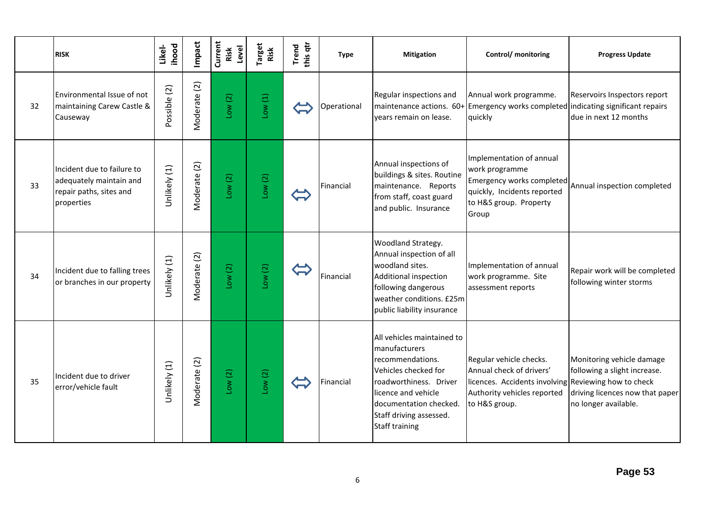|    | <b>RISK</b>                                                                                    | ihood<br>Likel- | Impact       | Current<br>Level<br>Risk | Target<br>Risk | this qtr<br><b>Trend</b> | <b>Type</b> | <b>Mitigation</b>                                                                                                                                                                                                      | Control/ monitoring                                                                                                                                         | <b>Progress Update</b>                                                                                               |
|----|------------------------------------------------------------------------------------------------|-----------------|--------------|--------------------------|----------------|--------------------------|-------------|------------------------------------------------------------------------------------------------------------------------------------------------------------------------------------------------------------------------|-------------------------------------------------------------------------------------------------------------------------------------------------------------|----------------------------------------------------------------------------------------------------------------------|
| 32 | Environmental Issue of not<br>maintaining Carew Castle &<br>Causeway                           | Possible (2)    | Moderate (2) | Low(2)                   | Low(1)         |                          | Operational | Regular inspections and<br>maintenance actions. 60+<br>vears remain on lease.                                                                                                                                          | Annual work programme.<br>Emergency works completed indicating significant repairs<br>quickly                                                               | Reservoirs Inspectors report<br>due in next 12 months                                                                |
| 33 | Incident due to failure to<br>adequately maintain and<br>repair paths, sites and<br>properties | Unlikely (1)    | Moderate (2) | Low(2)                   | Low(2)         | $\leftarrow$             | Financial   | Annual inspections of<br>buildings & sites. Routine<br>maintenance. Reports<br>from staff, coast guard<br>and public. Insurance                                                                                        | Implementation of annual<br>work programme<br>Emergency works completed<br>quickly, Incidents reported<br>to H&S group. Property<br>Group                   | Annual inspection completed                                                                                          |
| 34 | Incident due to falling trees<br>or branches in our property                                   | Unlikely (1)    | Moderate (2) | Low(2)                   | Low(2)         |                          | Financial   | Woodland Strategy.<br>Annual inspection of all<br>woodland sites.<br>Additional inspection<br>following dangerous<br>weather conditions. £25m<br>public liability insurance                                            | Implementation of annual<br>work programme. Site<br>assessment reports                                                                                      | Repair work will be completed<br>following winter storms                                                             |
| 35 | Incident due to driver<br>error/vehicle fault                                                  | Unlikely (1)    | Moderate (2) | Low(2)                   | Low(2)         |                          | Financial   | All vehicles maintained to<br>manufacturers<br>recommendations.<br>Vehicles checked for<br>roadworthiness. Driver<br>licence and vehicle<br>documentation checked.<br>Staff driving assessed.<br><b>Staff training</b> | Regular vehicle checks.<br>Annual check of drivers'<br>licences. Accidents involving Reviewing how to check<br>Authority vehicles reported<br>to H&S group. | Monitoring vehicle damage<br>following a slight increase.<br>driving licences now that paper<br>no longer available. |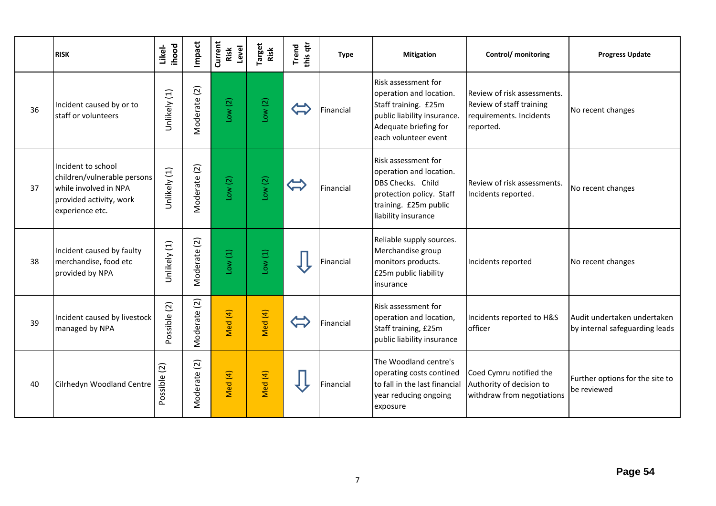|    | <b>RISK</b>                                                                                                              | <b>ihood</b><br>Likel- | Impact       | Current<br>Level<br>Risk | Target<br>Risk | this qtr<br>Trend        | <b>Type</b> | <b>Mitigation</b>                                                                                                                                      | Control/ monitoring                                                                             | <b>Progress Update</b>                                        |
|----|--------------------------------------------------------------------------------------------------------------------------|------------------------|--------------|--------------------------|----------------|--------------------------|-------------|--------------------------------------------------------------------------------------------------------------------------------------------------------|-------------------------------------------------------------------------------------------------|---------------------------------------------------------------|
| 36 | Incident caused by or to<br>staff or volunteers                                                                          | Unlikely (1)           | Moderate (2) | Low(2)                   | Low(2)         | $\Leftrightarrow$        | Financial   | Risk assessment for<br>operation and location.<br>Staff training. £25m<br>public liability insurance.<br>Adequate briefing for<br>each volunteer event | Review of risk assessments.<br>Review of staff training<br>requirements. Incidents<br>reported. | No recent changes                                             |
| 37 | Incident to school<br>children/vulnerable persons<br>while involved in NPA<br>provided activity, work<br>experience etc. | Unlikely (1)           | Moderate (2) | Low(2)                   | Low(2)         | $\widetilde{\mathbb{C}}$ | Financial   | <b>Risk assessment for</b><br>operation and location.<br>DBS Checks. Child<br>protection policy. Staff<br>training. £25m public<br>liability insurance | Review of risk assessments.<br>Incidents reported.                                              | No recent changes                                             |
| 38 | Incident caused by faulty<br>merchandise, food etc<br>provided by NPA                                                    | Unlikely (1)           | Moderate (2) | Low(1)                   | Low(1)         |                          | Financial   | Reliable supply sources.<br>Merchandise group<br>monitors products.<br>£25m public liability<br>insurance                                              | Incidents reported                                                                              | No recent changes                                             |
| 39 | Incident caused by livestock<br>managed by NPA                                                                           | Possible (2)           | Moderate (2) | Med (4)                  | Med (4)        | $\Leftrightarrow$        | Financial   | Risk assessment for<br>operation and location,<br>Staff training, £25m<br>public liability insurance                                                   | Incidents reported to H&S<br>officer                                                            | Audit undertaken undertaken<br>by internal safeguarding leads |
| 40 | Cilrhedyn Woodland Centre                                                                                                | Possible (2)           | Moderate (2) | Med (4)                  | Med (4)        |                          | Financial   | The Woodland centre's<br>operating costs contined<br>to fall in the last financial<br>year reducing ongoing<br>exposure                                | Coed Cymru notified the<br>Authority of decision to<br>withdraw from negotiations               | Further options for the site to<br>be reviewed                |